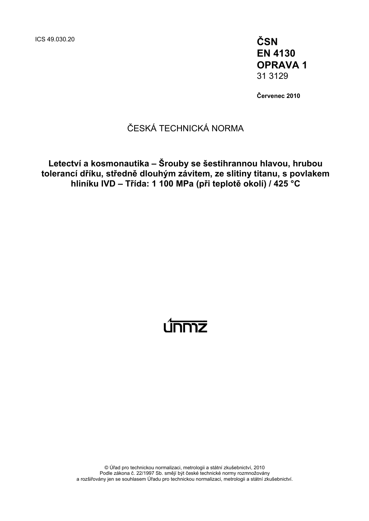ICS 49.030.20 **ČSN EN 4130 OPRAVA 1**  31 3129

**Červenec 2010** 

### ČESKÁ TECHNICKÁ NORMA

**Letectví a kosmonautika – Šrouby se šestihrannou hlavou, hrubou tolerancí dříku, středně dlouhým závitem, ze slitiny titanu, s povlakem hliníku IVD – Třída: 1 100 MPa (při teplotě okolí) / 425 °C** 

# <u>únmz</u>

© Úřad pro technickou normalizaci, metrologii a státní zkušebnictví, 2010 Podle zákona č. 22/1997 Sb. smějí být české technické normy rozmnožovány a rozšiřovány jen se souhlasem Úřadu pro technickou normalizaci, metrologii a státní zkušebnictví.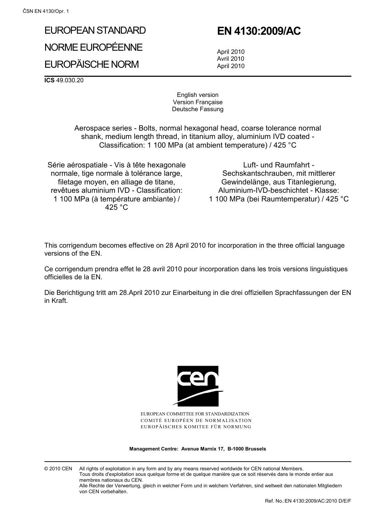# EUROPEAN STANDARD NORME EUROPÉENNE

EUROPÄISCHE NORM

## **EN 4130:2009/AC**

 April 2010 Avril 2010 April 2010

**ICS** 49.030.20

English version Version Française Deutsche Fassung

 Aerospace series - Bolts, normal hexagonal head, coarse tolerance normal shank, medium length thread, in titanium alloy, aluminium IVD coated - Classification: 1 100 MPa (at ambient temperature) / 425 °C

Série aérospatiale - Vis à tête hexagonale normale, tige normale à tolérance large, filetage moyen, en alliage de titane, revêtues aluminium IVD - Classification: 1 100 MPa (à température ambiante) / 425 °C

Luft- und Raumfahrt - Sechskantschrauben, mit mittlerer Gewindelänge, aus Titanlegierung, Aluminium-IVD-beschichtet - Klasse: 1 100 MPa (bei Raumtemperatur) / 425 °C

This corrigendum becomes effective on 28 April 2010 for incorporation in the three official language versions of the EN.

Ce corrigendum prendra effet le 28 avril 2010 pour incorporation dans les trois versions linguistiques officielles de la EN.

Die Berichtigung tritt am 28.April 2010 zur Einarbeitung in die drei offiziellen Sprachfassungen der EN in Kraft.



EUROPEAN COMMITTEE FOR STANDARDIZATION COMITÉ EUROPÉEN DE NORMALISATION EUROPÄISCHES KOMITEE FÜR NORMUNG

**Management Centre: Avenue Marnix 17, B-1000 Brussels** 

© 2010 CEN All rights of exploitation in any form and by any means reserved worldwide for CEN national Members. Tous droits d'exploitation sous quelque forme et de quelque manière que ce soit réservés dans le monde entier aux membres nationaux du CEN. Alle Rechte der Verwertung, gleich in welcher Form und in welchem Verfahren, sind weltweit den nationalen Mitgliedern

von CEN vorbehalten.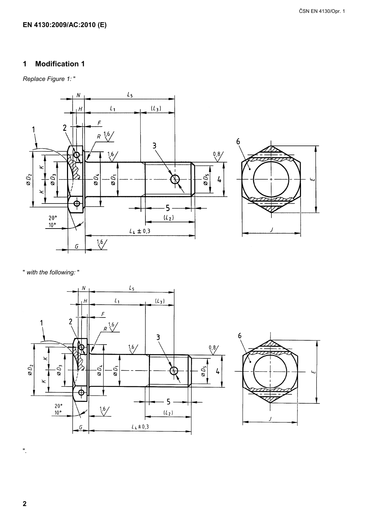#### EN 4130:2009/AC:2010 (E)

#### **Modification 1**  $\mathbf 1$

Replace Figure 1:"



" with the following: "





 $\mathbf 2$ 

 $\mathbf{u}$